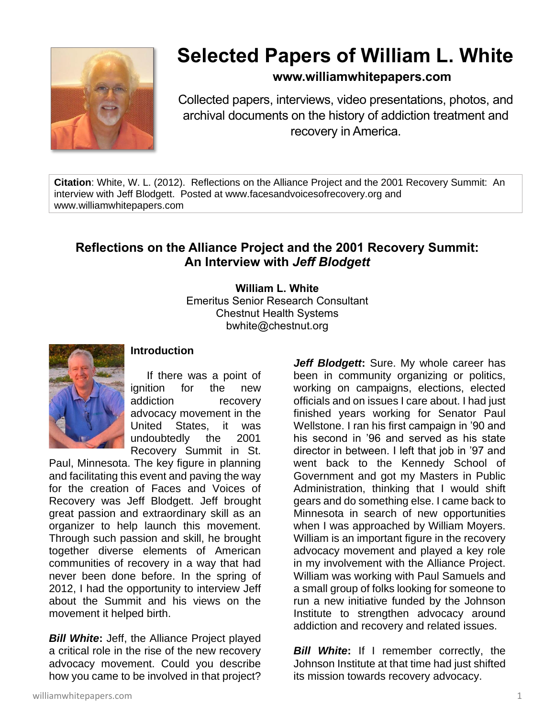

## **Selected Papers of William L. White**

## **www.williamwhitepapers.com**

Collected papers, interviews, video presentations, photos, and archival documents on the history of addiction treatment and recovery in America.

**Citation**: White, W. L. (2012). Reflections on the Alliance Project and the 2001 Recovery Summit: An interview with Jeff Blodgett. Posted at www.facesandvoicesofrecovery.org and www.williamwhitepapers.com

## **Reflections on the Alliance Project and the 2001 Recovery Summit: An Interview with** *Jeff Blodgett*

**William L. White** Emeritus Senior Research Consultant Chestnut Health Systems bwhite@chestnut.org



## **Introduction**

If there was a point of ignition for the new addiction recovery advocacy movement in the United States, it was undoubtedly the 2001 Recovery Summit in St.

Paul, Minnesota. The key figure in planning and facilitating this event and paving the way for the creation of Faces and Voices of Recovery was Jeff Blodgett. Jeff brought great passion and extraordinary skill as an organizer to help launch this movement. Through such passion and skill, he brought together diverse elements of American communities of recovery in a way that had never been done before. In the spring of 2012, I had the opportunity to interview Jeff about the Summit and his views on the movement it helped birth.

*Bill White***:** Jeff, the Alliance Project played a critical role in the rise of the new recovery advocacy movement. Could you describe how you came to be involved in that project?

*Jeff Blodgett***:** Sure. My whole career has been in community organizing or politics, working on campaigns, elections, elected officials and on issues I care about. I had just finished years working for Senator Paul Wellstone. I ran his first campaign in '90 and his second in '96 and served as his state director in between. I left that job in '97 and went back to the Kennedy School of Government and got my Masters in Public Administration, thinking that I would shift gears and do something else. I came back to Minnesota in search of new opportunities when I was approached by William Moyers. William is an important figure in the recovery advocacy movement and played a key role in my involvement with the Alliance Project. William was working with Paul Samuels and a small group of folks looking for someone to run a new initiative funded by the Johnson Institute to strengthen advocacy around addiction and recovery and related issues.

**Bill White:** If I remember correctly, the Johnson Institute at that time had just shifted its mission towards recovery advocacy.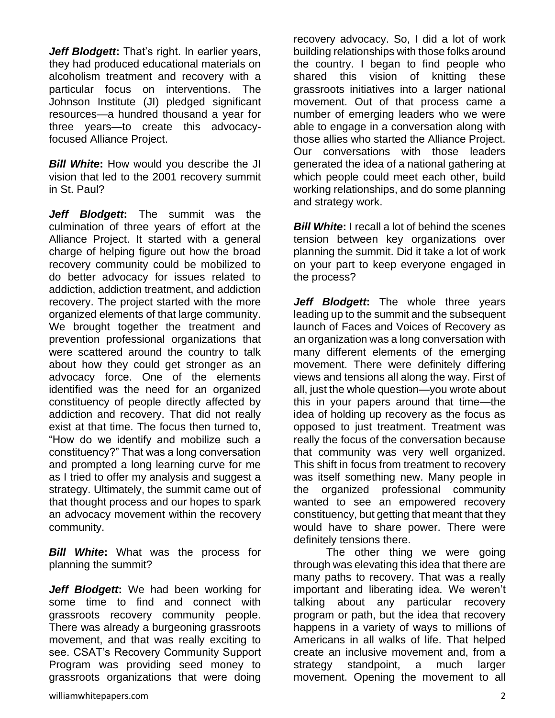*Jeff Blodgett***:** That's right. In earlier years, they had produced educational materials on alcoholism treatment and recovery with a particular focus on interventions. The Johnson Institute (JI) pledged significant resources—a hundred thousand a year for three years—to create this advocacyfocused Alliance Project.

*Bill White***:** How would you describe the JI vision that led to the 2001 recovery summit in St. Paul?

*Jeff Blodgett***:** The summit was the culmination of three years of effort at the Alliance Project. It started with a general charge of helping figure out how the broad recovery community could be mobilized to do better advocacy for issues related to addiction, addiction treatment, and addiction recovery. The project started with the more organized elements of that large community. We brought together the treatment and prevention professional organizations that were scattered around the country to talk about how they could get stronger as an advocacy force. One of the elements identified was the need for an organized constituency of people directly affected by addiction and recovery. That did not really exist at that time. The focus then turned to, "How do we identify and mobilize such a constituency?" That was a long conversation and prompted a long learning curve for me as I tried to offer my analysis and suggest a strategy. Ultimately, the summit came out of that thought process and our hopes to spark an advocacy movement within the recovery community.

*Bill White***:** What was the process for planning the summit?

*Jeff Blodgett***:** We had been working for some time to find and connect with grassroots recovery community people. There was already a burgeoning grassroots movement, and that was really exciting to see. CSAT's Recovery Community Support Program was providing seed money to grassroots organizations that were doing recovery advocacy. So, I did a lot of work building relationships with those folks around the country. I began to find people who shared this vision of knitting these grassroots initiatives into a larger national movement. Out of that process came a number of emerging leaders who we were able to engage in a conversation along with those allies who started the Alliance Project. Our conversations with those leaders generated the idea of a national gathering at which people could meet each other, build working relationships, and do some planning and strategy work.

*Bill White***:** I recall a lot of behind the scenes tension between key organizations over planning the summit. Did it take a lot of work on your part to keep everyone engaged in the process?

*Jeff Blodgett***:** The whole three years leading up to the summit and the subsequent launch of Faces and Voices of Recovery as an organization was a long conversation with many different elements of the emerging movement. There were definitely differing views and tensions all along the way. First of all, just the whole question—you wrote about this in your papers around that time—the idea of holding up recovery as the focus as opposed to just treatment. Treatment was really the focus of the conversation because that community was very well organized. This shift in focus from treatment to recovery was itself something new. Many people in the organized professional community wanted to see an empowered recovery constituency, but getting that meant that they would have to share power. There were definitely tensions there.

The other thing we were going through was elevating this idea that there are many paths to recovery. That was a really important and liberating idea. We weren't talking about any particular recovery program or path, but the idea that recovery happens in a variety of ways to millions of Americans in all walks of life. That helped create an inclusive movement and, from a strategy standpoint, a much larger movement. Opening the movement to all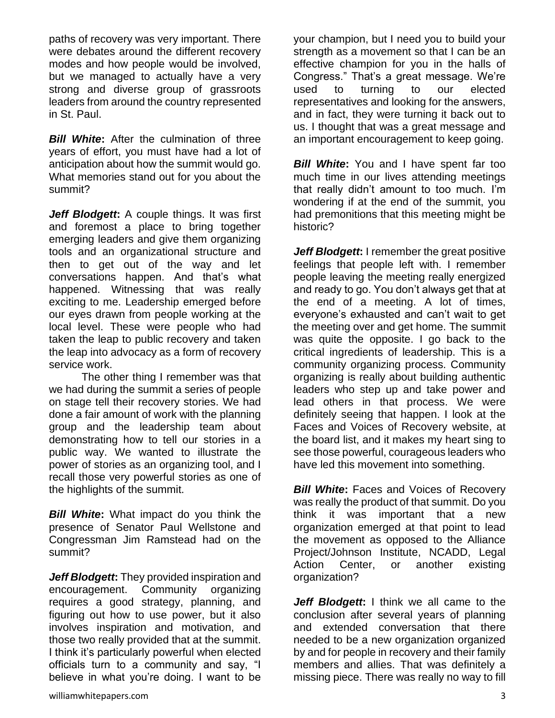paths of recovery was very important. There were debates around the different recovery modes and how people would be involved, but we managed to actually have a very strong and diverse group of grassroots leaders from around the country represented in St. Paul.

*Bill White***:** After the culmination of three years of effort, you must have had a lot of anticipation about how the summit would go. What memories stand out for you about the summit?

*Jeff Blodgett***:** A couple things. It was first and foremost a place to bring together emerging leaders and give them organizing tools and an organizational structure and then to get out of the way and let conversations happen. And that's what happened. Witnessing that was really exciting to me. Leadership emerged before our eyes drawn from people working at the local level. These were people who had taken the leap to public recovery and taken the leap into advocacy as a form of recovery service work.

The other thing I remember was that we had during the summit a series of people on stage tell their recovery stories. We had done a fair amount of work with the planning group and the leadership team about demonstrating how to tell our stories in a public way. We wanted to illustrate the power of stories as an organizing tool, and I recall those very powerful stories as one of the highlights of the summit.

*Bill White***:** What impact do you think the presence of Senator Paul Wellstone and Congressman Jim Ramstead had on the summit?

*Jeff Blodgett***:** They provided inspiration and encouragement. Community organizing requires a good strategy, planning, and figuring out how to use power, but it also involves inspiration and motivation, and those two really provided that at the summit. I think it's particularly powerful when elected officials turn to a community and say, "I believe in what you're doing. I want to be

your champion, but I need you to build your strength as a movement so that I can be an effective champion for you in the halls of Congress." That's a great message. We're used to turning to our elected representatives and looking for the answers, and in fact, they were turning it back out to us. I thought that was a great message and an important encouragement to keep going.

**Bill White:** You and I have spent far too much time in our lives attending meetings that really didn't amount to too much. I'm wondering if at the end of the summit, you had premonitions that this meeting might be historic?

*Jeff Blodgett:* I remember the great positive feelings that people left with. I remember people leaving the meeting really energized and ready to go. You don't always get that at the end of a meeting. A lot of times, everyone's exhausted and can't wait to get the meeting over and get home. The summit was quite the opposite. I go back to the critical ingredients of leadership. This is a community organizing process. Community organizing is really about building authentic leaders who step up and take power and lead others in that process. We were definitely seeing that happen. I look at the Faces and Voices of Recovery website, at the board list, and it makes my heart sing to see those powerful, courageous leaders who have led this movement into something.

*Bill White:* Faces and Voices of Recovery was really the product of that summit. Do you think it was important that a new organization emerged at that point to lead the movement as opposed to the Alliance Project/Johnson Institute, NCADD, Legal Action Center, or another existing organization?

*Jeff Blodgett***:** I think we all came to the conclusion after several years of planning and extended conversation that there needed to be a new organization organized by and for people in recovery and their family members and allies. That was definitely a missing piece. There was really no way to fill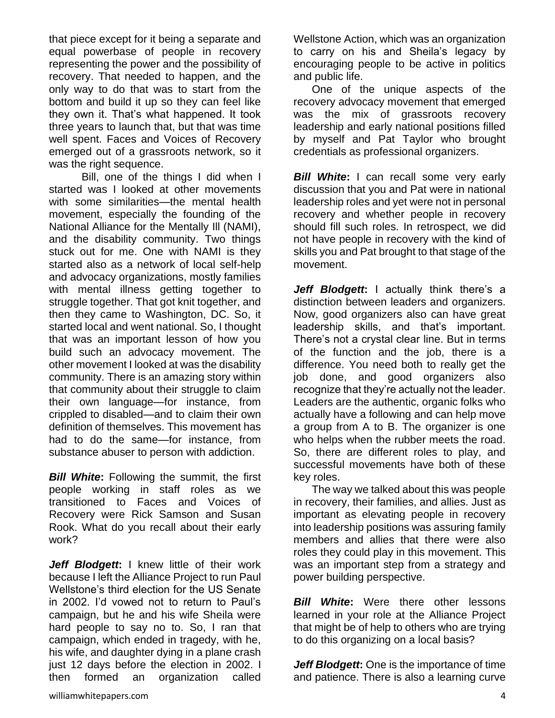that piece except for it being a separate and equal powerbase of people in recovery representing the power and the possibility of recovery. That needed to happen, and the only way to do that was to start from the bottom and build it up so they can feel like they own it. That's what happened. It took three years to launch that, but that was time well spent. Faces and Voices of Recovery emerged out of a grassroots network, so it was the right sequence.

Bill, one of the things I did when I started was I looked at other movements with some similarities—the mental health movement, especially the founding of the National Alliance for the Mentally Ill (NAMI), and the disability community. Two things stuck out for me. One with NAMI is they started also as a network of local self-help and advocacy organizations, mostly families with mental illness getting together to struggle together. That got knit together, and then they came to Washington, DC. So, it started local and went national. So, I thought that was an important lesson of how you build such an advocacy movement. The other movement I looked at was the disability community. There is an amazing story within that community about their struggle to claim their own language—for instance, from crippled to disabled—and to claim their own definition of themselves. This movement has had to do the same—for instance, from substance abuser to person with addiction.

*Bill White***:** Following the summit, the first people working in staff roles as we transitioned to Faces and Voices of Recovery were Rick Samson and Susan Rook. What do you recall about their early work?

*Jeff Blodgett***:** I knew little of their work because I left the Alliance Project to run Paul Wellstone's third election for the US Senate in 2002. I'd vowed not to return to Paul's campaign, but he and his wife Sheila were hard people to say no to. So, I ran that campaign, which ended in tragedy, with he, his wife, and daughter dying in a plane crash just 12 days before the election in 2002. I then formed an organization called

Wellstone Action, which was an organization to carry on his and Sheila's legacy by encouraging people to be active in politics and public life.

 One of the unique aspects of the recovery advocacy movement that emerged was the mix of grassroots recovery leadership and early national positions filled by myself and Pat Taylor who brought credentials as professional organizers.

*Bill White*: I can recall some very early discussion that you and Pat were in national leadership roles and yet were not in personal recovery and whether people in recovery should fill such roles. In retrospect, we did not have people in recovery with the kind of skills you and Pat brought to that stage of the movement.

*Jeff Blodgett***:** I actually think there's a distinction between leaders and organizers. Now, good organizers also can have great leadership skills, and that's important. There's not a crystal clear line. But in terms of the function and the job, there is a difference. You need both to really get the job done, and good organizers also recognize that they're actually not the leader. Leaders are the authentic, organic folks who actually have a following and can help move a group from A to B. The organizer is one who helps when the rubber meets the road. So, there are different roles to play, and successful movements have both of these key roles.

 The way we talked about this was people in recovery, their families, and allies. Just as important as elevating people in recovery into leadership positions was assuring family members and allies that there were also roles they could play in this movement. This was an important step from a strategy and power building perspective.

*Bill White***:** Were there other lessons learned in your role at the Alliance Project that might be of help to others who are trying to do this organizing on a local basis?

*Jeff Blodgett***:** One is the importance of time and patience. There is also a learning curve